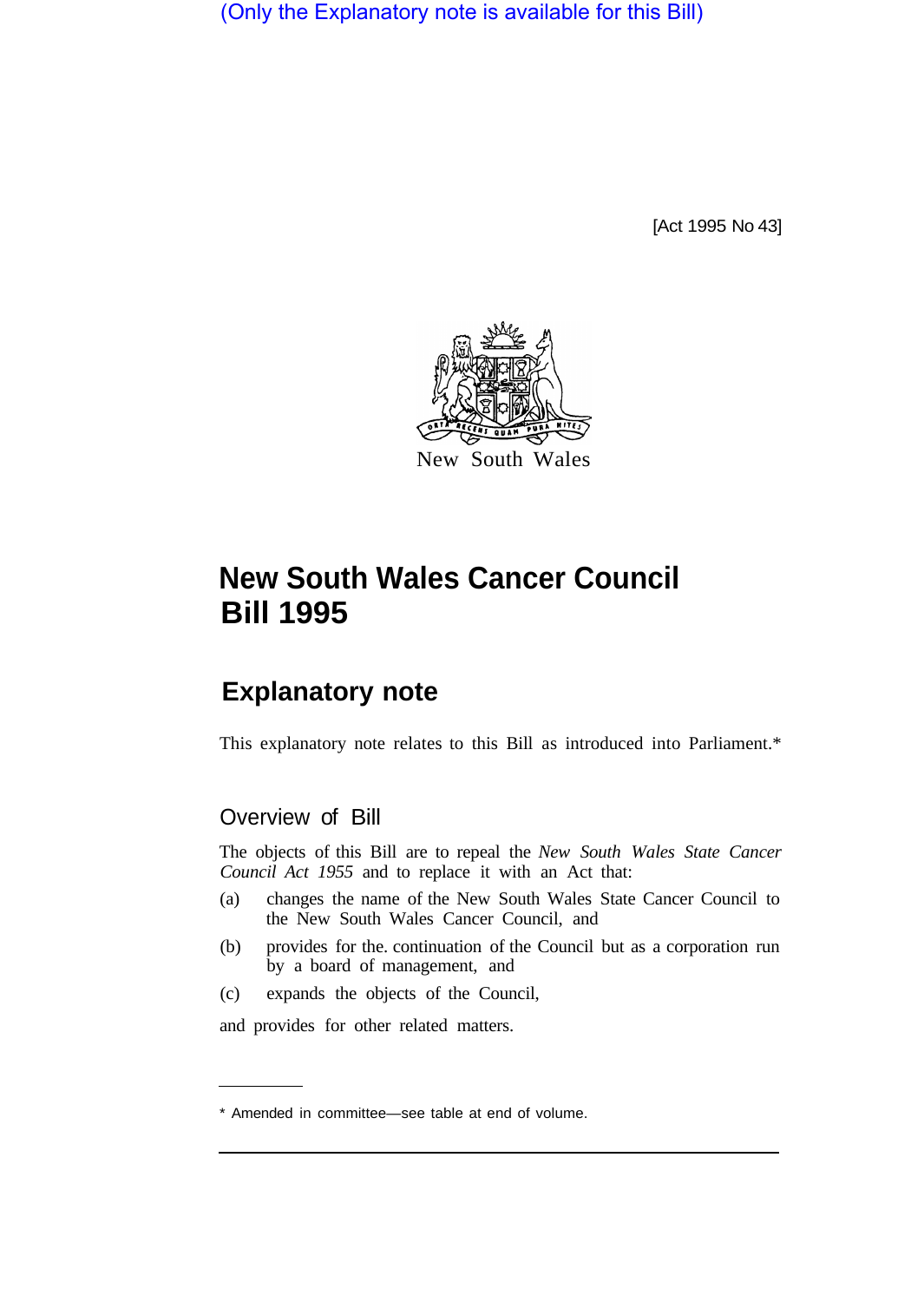(Only the Explanatory note is available for this Bill)

[Act 1995 No 43]



# **New South Wales Cancer Council Bill 1995**

# **Explanatory note**

This explanatory note relates to this Bill as introduced into Parliament.\*

## Overview of Bill

The objects of this Bill are to repeal the *New South Wales State Cancer Council Act 1955* and to replace it with an Act that:

- (a) changes the name of the New South Wales State Cancer Council to the New South Wales Cancer Council, and
- (b) provides for the. continuation of the Council but as a corporation run by a board of management, and
- (c) expands the objects of the Council,

and provides for other related matters.

<sup>\*</sup> Amended in committee—see table at end of volume.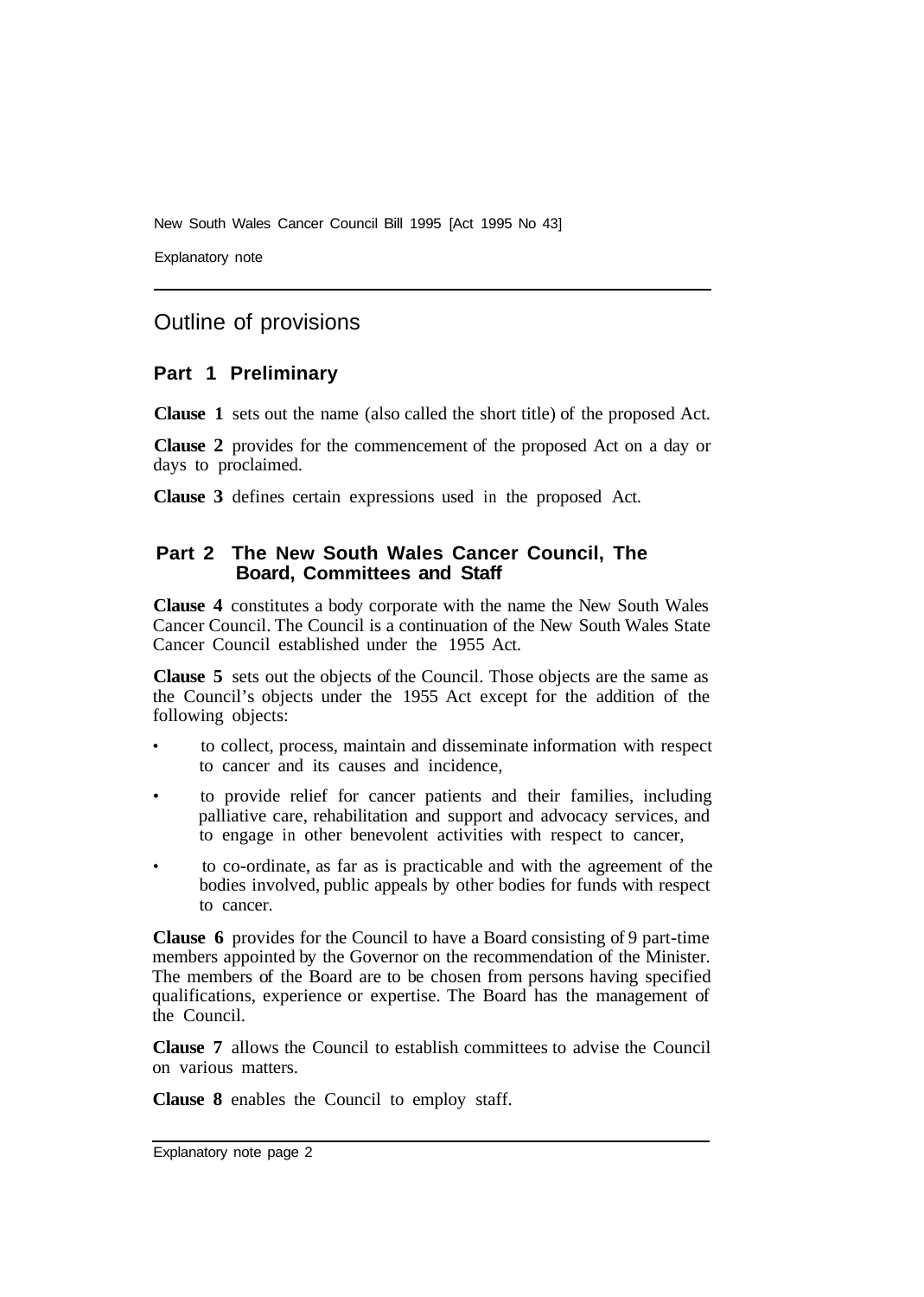New South Wales Cancer Council Bill 1995 [Act 1995 No 43]

Explanatory note

### Outline of provisions

#### **Part 1 Preliminary**

**Clause 1** sets out the name (also called the short title) of the proposed Act.

**Clause 2** provides for the commencement of the proposed Act on a day or days to proclaimed.

**Clause 3** defines certain expressions used in the proposed Act.

#### **Part 2 The New South Wales Cancer Council, The Board, Committees and Staff**

**Clause 4** constitutes a body corporate with the name the New South Wales Cancer Council. The Council is a continuation of the New South Wales State Cancer Council established under the 1955 Act.

**Clause 5** sets out the objects of the Council. Those objects are the same as the Council's objects under the 1955 Act except for the addition of the following objects:

- to collect, process, maintain and disseminate information with respect to cancer and its causes and incidence,
- to provide relief for cancer patients and their families, including palliative care, rehabilitation and support and advocacy services, and to engage in other benevolent activities with respect to cancer,
- to co-ordinate, as far as is practicable and with the agreement of the bodies involved, public appeals by other bodies for funds with respect to cancer.

**Clause 6** provides for the Council to have a Board consisting of 9 part-time members appointed by the Governor on the recommendation of the Minister. The members of the Board are to be chosen from persons having specified qualifications, experience or expertise. The Board has the management of the Council.

**Clause 7** allows the Council to establish committees to advise the Council on various matters.

**Clause 8** enables the Council to employ staff.

Explanatory note page 2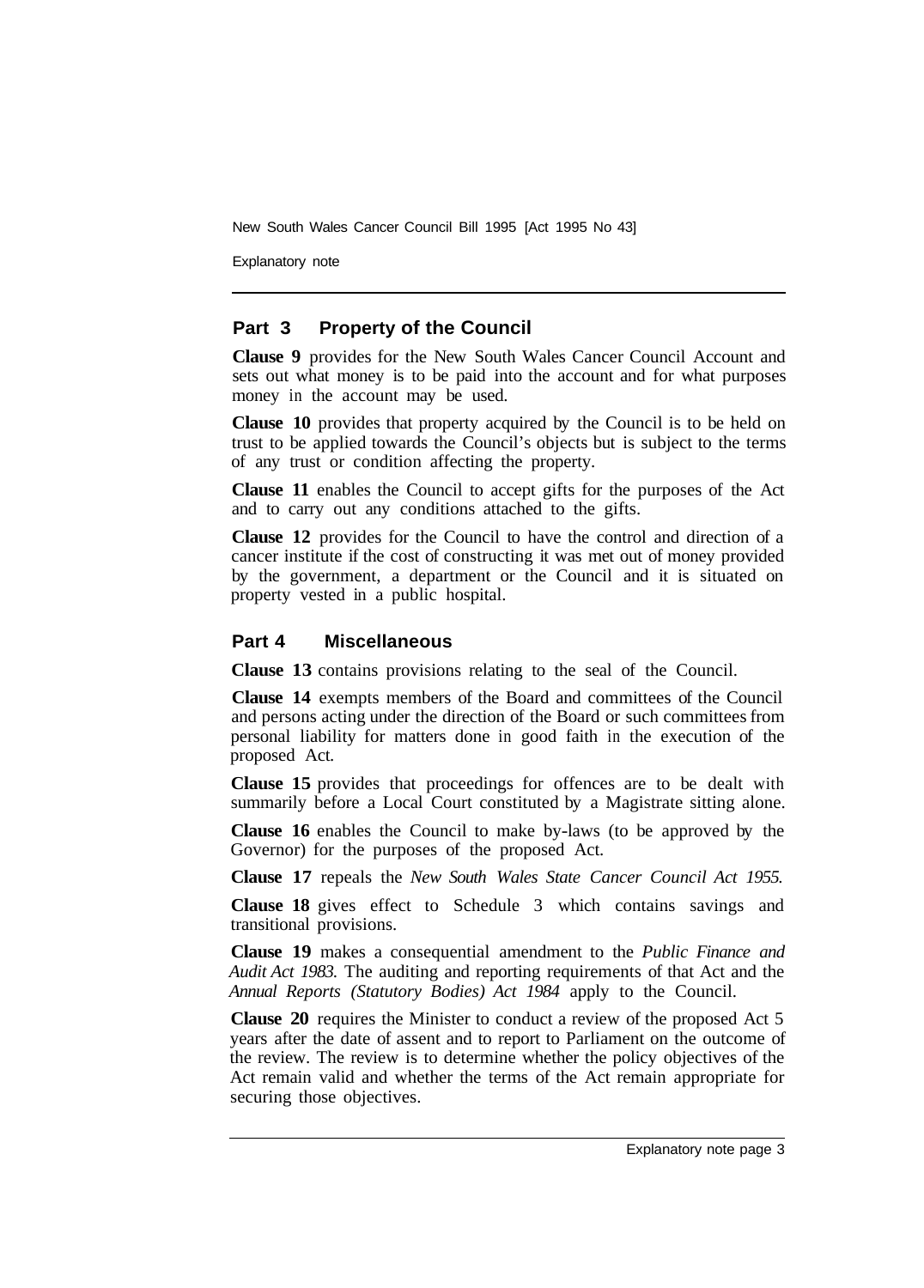New South Wales Cancer Council Bill 1995 [Act 1995 No 43]

Explanatory note

#### **Part 3 Property of the Council**

**Clause 9** provides for the New South Wales Cancer Council Account and sets out what money is to be paid into the account and for what purposes money in the account may be used.

**Clause 10** provides that property acquired by the Council is to be held on trust to be applied towards the Council's objects but is subject to the terms of any trust or condition affecting the property.

**Clause 11** enables the Council to accept gifts for the purposes of the Act and to carry out any conditions attached to the gifts.

**Clause 12** provides for the Council to have the control and direction of a cancer institute if the cost of constructing it was met out of money provided by the government, a department or the Council and it is situated on property vested in a public hospital.

#### **Part 4 Miscellaneous**

**Clause 13** contains provisions relating to the seal of the Council.

**Clause 14** exempts members of the Board and committees of the Council and persons acting under the direction of the Board or such committees from personal liability for matters done in good faith in the execution of the proposed Act.

**Clause 15** provides that proceedings for offences are to be dealt with summarily before a Local Court constituted by a Magistrate sitting alone.

**Clause 16** enables the Council to make by-laws (to be approved by the Governor) for the purposes of the proposed Act.

**Clause 17** repeals the *New South Wales State Cancer Council Act 1955.* 

**Clause 18** gives effect to Schedule 3 which contains savings and transitional provisions.

**Clause 19** makes a consequential amendment to the *Public Finance and Audit Act 1983.* The auditing and reporting requirements of that Act and the *Annual Reports (Statutory Bodies) Act 1984* apply to the Council.

**Clause 20** requires the Minister to conduct a review of the proposed Act 5 years after the date of assent and to report to Parliament on the outcome of the review. The review is to determine whether the policy objectives of the Act remain valid and whether the terms of the Act remain appropriate for securing those objectives.